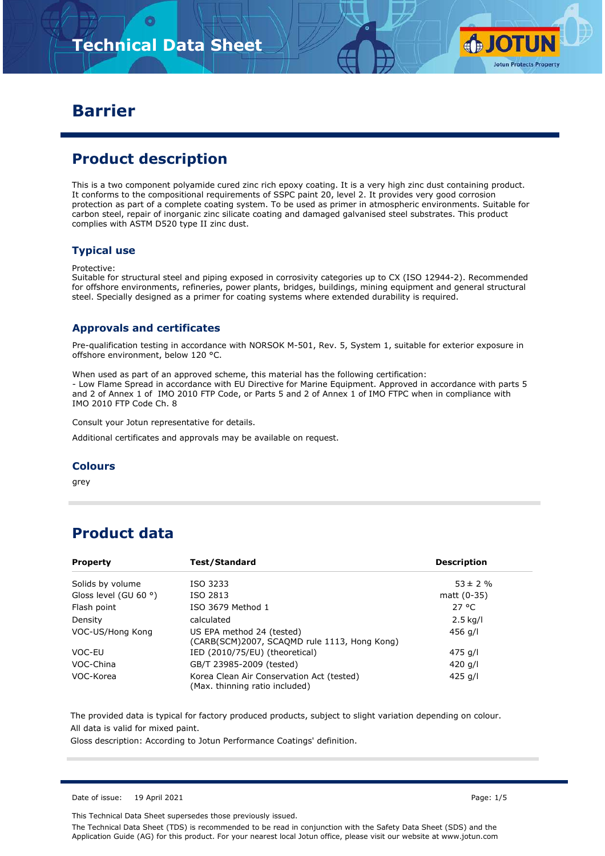

### **Barrier**

# **Product description**

This is a two component polyamide cured zinc rich epoxy coating. It is a very high zinc dust containing product. It conforms to the compositional requirements of SSPC paint 20, level 2. It provides very good corrosion protection as part of a complete coating system. To be used as primer in atmospheric environments. Suitable for carbon steel, repair of inorganic zinc silicate coating and damaged galvanised steel substrates. This product complies with ASTM D520 type II zinc dust.

#### **Typical use**

#### Protective:

Suitable for structural steel and piping exposed in corrosivity categories up to CX (ISO 12944-2). Recommended for offshore environments, refineries, power plants, bridges, buildings, mining equipment and general structural steel. Specially designed as a primer for coating systems where extended durability is required.

#### **Approvals and certificates**

Pre-qualification testing in accordance with NORSOK M-501, Rev. 5, System 1, suitable for exterior exposure in offshore environment, below 120 °C.

When used as part of an approved scheme, this material has the following certification: - Low Flame Spread in accordance with EU Directive for Marine Equipment. Approved in accordance with parts 5 and 2 of Annex 1 of IMO 2010 FTP Code, or Parts 5 and 2 of Annex 1 of IMO FTPC when in compliance with IMO 2010 FTP Code Ch. 8

Consult your Jotun representative for details.

Additional certificates and approvals may be available on request.

#### **Colours**

grey

### **Product data**

| <b>Property</b>                | <b>Test/Standard</b>                                                        | <b>Description</b> |
|--------------------------------|-----------------------------------------------------------------------------|--------------------|
| Solids by volume               | ISO 3233                                                                    | $53 \pm 2 \%$      |
| Gloss level (GU 60 $\degree$ ) | ISO 2813                                                                    | matt $(0-35)$      |
| Flash point                    | ISO 3679 Method 1                                                           | 27 °C              |
| Density                        | calculated                                                                  | $2.5$ kg/l         |
| VOC-US/Hong Kong               | US EPA method 24 (tested)<br>(CARB(SCM)2007, SCAQMD rule 1113, Hong Kong)   | 456 g/l            |
| VOC-EU                         | IED (2010/75/EU) (theoretical)                                              | 475 g/l            |
| VOC-China                      | GB/T 23985-2009 (tested)                                                    | 420 g/l            |
| VOC-Korea                      | Korea Clean Air Conservation Act (tested)<br>(Max. thinning ratio included) | 425 g/l            |

The provided data is typical for factory produced products, subject to slight variation depending on colour. All data is valid for mixed paint.

Gloss description: According to Jotun Performance Coatings' definition.

Date of issue: 19 April 2021 **Page: 1/5** 

This Technical Data Sheet supersedes those previously issued.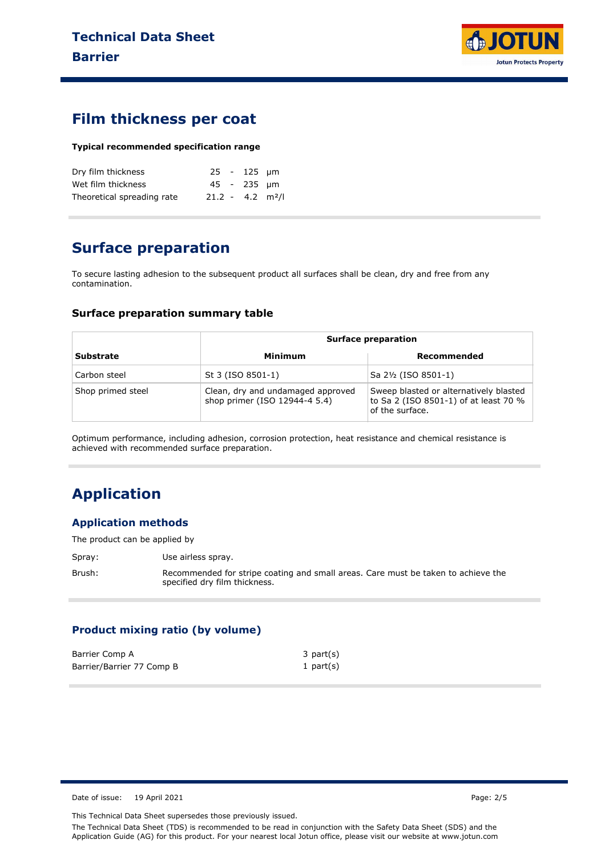

### **Film thickness per coat**

#### **Typical recommended specification range**

| Dry film thickness         |                                | $25 - 125$ um |  |
|----------------------------|--------------------------------|---------------|--|
| Wet film thickness         |                                | 45 - 235 um   |  |
| Theoretical spreading rate | $21.2 - 4.2$ m <sup>2</sup> /l |               |  |

### **Surface preparation**

To secure lasting adhesion to the subsequent product all surfaces shall be clean, dry and free from any contamination.

#### **Surface preparation summary table**

|                   |                                                                    | <b>Surface preparation</b>                                                                         |  |
|-------------------|--------------------------------------------------------------------|----------------------------------------------------------------------------------------------------|--|
| <b>Substrate</b>  | Minimum                                                            | Recommended                                                                                        |  |
| Carbon steel      | St 3 (ISO 8501-1)                                                  | Sa 2½ (ISO 8501-1)                                                                                 |  |
| Shop primed steel | Clean, dry and undamaged approved<br>shop primer (ISO 12944-4 5.4) | Sweep blasted or alternatively blasted<br>to Sa 2 (ISO 8501-1) of at least 70 %<br>of the surface. |  |

Optimum performance, including adhesion, corrosion protection, heat resistance and chemical resistance is achieved with recommended surface preparation.

## **Application**

#### **Application methods**

The product can be applied by

Spray: Use airless spray. Brush: Recommended for stripe coating and small areas. Care must be taken to achieve the specified dry film thickness.

### **Product mixing ratio (by volume)**

| Barrier Comp A            | $3$ part $(s)$ |
|---------------------------|----------------|
| Barrier/Barrier 77 Comp B | 1 part $(s)$   |

Date of issue: 19 April 2021 Page: 2/5

This Technical Data Sheet supersedes those previously issued.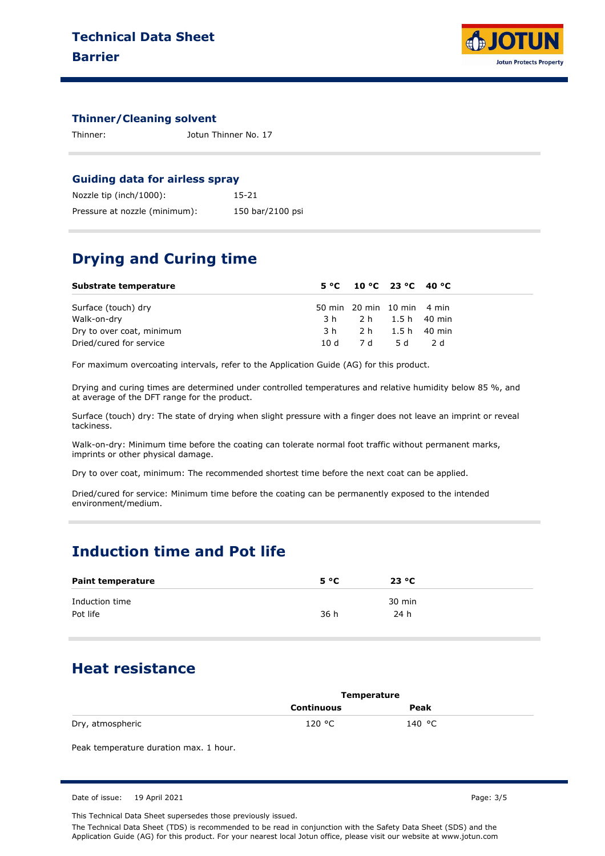

#### **Thinner/Cleaning solvent**

Thinner: Jotun Thinner No. 17

#### **Guiding data for airless spray**

| Nozzle tip (inch/1000):       | 15-21            |
|-------------------------------|------------------|
| Pressure at nozzle (minimum): | 150 bar/2100 psi |

### **Drying and Curing time**

| Substrate temperature     | $5^{\circ}$ C 10 °C 23 °C 40 °C |  |  |
|---------------------------|---------------------------------|--|--|
| Surface (touch) dry       | 50 min 20 min 10 min 4 min      |  |  |
| Walk-on-dry               | 3 h 2 h 1.5 h 40 min            |  |  |
| Dry to over coat, minimum | 3 h 2 h 1.5 h 40 min            |  |  |
| Dried/cured for service   | 10 d 7 d 5 d 2 d                |  |  |

For maximum overcoating intervals, refer to the Application Guide (AG) for this product.

Drying and curing times are determined under controlled temperatures and relative humidity below 85 %, and at average of the DFT range for the product.

Surface (touch) dry: The state of drying when slight pressure with a finger does not leave an imprint or reveal tackiness.

Walk-on-dry: Minimum time before the coating can tolerate normal foot traffic without permanent marks, imprints or other physical damage.

Dry to over coat, minimum: The recommended shortest time before the next coat can be applied.

Dried/cured for service: Minimum time before the coating can be permanently exposed to the intended environment/medium.

### **Induction time and Pot life**

| <b>Paint temperature</b> | 5 °C | 23 °C  |
|--------------------------|------|--------|
| Induction time           |      | 30 min |
| Pot life                 | 36 h | 24 h   |

### **Heat resistance**

|                  | Temperature       |        |  |
|------------------|-------------------|--------|--|
|                  | <b>Continuous</b> | Peak   |  |
| Dry, atmospheric | 120 °C            | 140 °C |  |

Peak temperature duration max. 1 hour.

This Technical Data Sheet supersedes those previously issued.

Date of issue: 19 April 2021 Page: 3/5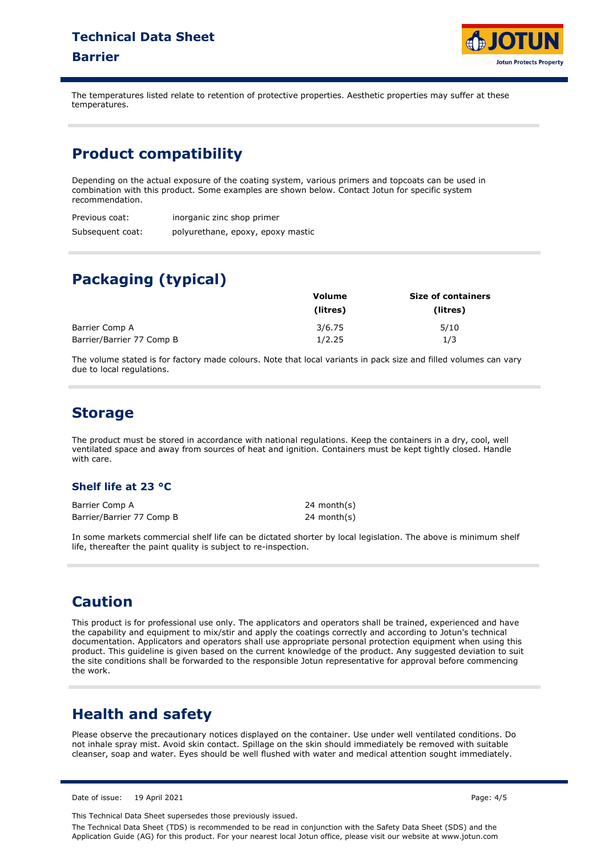# **Technical Data Sheet Barrier**



The temperatures listed relate to retention of protective properties. Aesthetic properties may suffer at these temperatures.

### **Product compatibility**

Depending on the actual exposure of the coating system, various primers and topcoats can be used in combination with this product. Some examples are shown below. Contact Jotun for specific system recommendation.

| Previous coat:   | inorganic zinc shop primer        |
|------------------|-----------------------------------|
| Subsequent coat: | polyurethane, epoxy, epoxy mastic |

# **Packaging (typical)**

|                           | Volume   | <b>Size of containers</b> |  |
|---------------------------|----------|---------------------------|--|
|                           | (litres) | (litres)                  |  |
| Barrier Comp A            | 3/6.75   | 5/10                      |  |
| Barrier/Barrier 77 Comp B | 1/2.25   | 1/3                       |  |

The volume stated is for factory made colours. Note that local variants in pack size and filled volumes can vary due to local regulations.

### **Storage**

The product must be stored in accordance with national regulations. Keep the containers in a dry, cool, well ventilated space and away from sources of heat and ignition. Containers must be kept tightly closed. Handle with care.

### **Shelf life at 23 °C**

Barrier Comp A Barrier/Barrier 77 Comp B 24 month(s) 24 month(s)

In some markets commercial shelf life can be dictated shorter by local legislation. The above is minimum shelf life, thereafter the paint quality is subject to re-inspection.

### **Caution**

This product is for professional use only. The applicators and operators shall be trained, experienced and have the capability and equipment to mix/stir and apply the coatings correctly and according to Jotun's technical documentation. Applicators and operators shall use appropriate personal protection equipment when using this product. This guideline is given based on the current knowledge of the product. Any suggested deviation to suit the site conditions shall be forwarded to the responsible Jotun representative for approval before commencing the work.

## **Health and safety**

Please observe the precautionary notices displayed on the container. Use under well ventilated conditions. Do not inhale spray mist. Avoid skin contact. Spillage on the skin should immediately be removed with suitable cleanser, soap and water. Eyes should be well flushed with water and medical attention sought immediately.

Date of issue: 19 April 2021 **Page: 4/5** 

This Technical Data Sheet supersedes those previously issued.